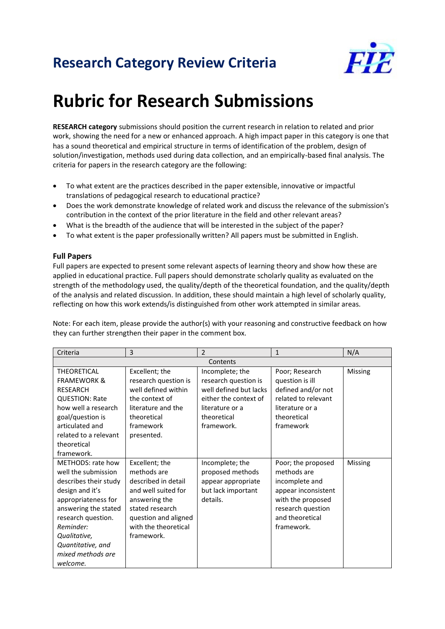## **Research Category Review Criteria**



## **Rubric for Research Submissions**

**RESEARCH category** submissions should position the current research in relation to related and prior work, showing the need for a new or enhanced approach. A high impact paper in this category is one that has a sound theoretical and empirical structure in terms of identification of the problem, design of solution/investigation, methods used during data collection, and an empirically-based final analysis. The criteria for papers in the research category are the following:

- To what extent are the practices described in the paper extensible, innovative or impactful translations of pedagogical research to educational practice?
- Does the work demonstrate knowledge of related work and discuss the relevance of the submission's contribution in the context of the prior literature in the field and other relevant areas?
- What is the breadth of the audience that will be interested in the subject of the paper?
- To what extent is the paper professionally written? All papers must be submitted in English.

## **Full Papers**

Full papers are expected to present some relevant aspects of learning theory and show how these are applied in educational practice. Full papers should demonstrate scholarly quality as evaluated on the strength of the methodology used, the quality/depth of the theoretical foundation, and the quality/depth of the analysis and related discussion. In addition, these should maintain a high level of scholarly quality, reflecting on how this work extends/is distinguished from other work attempted in similar areas.

Note: For each item, please provide the author(s) with your reasoning and constructive feedback on how they can further strengthen their paper in the comment box.

| Criteria                                                                                                                                                                                                                                     | 3                                                                                                                                                                             | $\mathcal{P}$                                                                               | $\mathbf{1}$                                                                                                                                          | N/A            |  |  |
|----------------------------------------------------------------------------------------------------------------------------------------------------------------------------------------------------------------------------------------------|-------------------------------------------------------------------------------------------------------------------------------------------------------------------------------|---------------------------------------------------------------------------------------------|-------------------------------------------------------------------------------------------------------------------------------------------------------|----------------|--|--|
| Contents                                                                                                                                                                                                                                     |                                                                                                                                                                               |                                                                                             |                                                                                                                                                       |                |  |  |
| <b>THEORETICAL</b><br><b>FRAMEWORK &amp;</b><br><b>RESEARCH</b><br><b>QUESTION: Rate</b>                                                                                                                                                     | Excellent; the<br>research question is<br>well defined within<br>the context of                                                                                               | Incomplete; the<br>research question is<br>well defined but lacks<br>either the context of  | Poor; Research<br>question is ill<br>defined and/or not<br>related to relevant                                                                        | Missing        |  |  |
| how well a research<br>goal/question is<br>articulated and<br>related to a relevant<br>theoretical<br>framework.                                                                                                                             | literature and the<br>theoretical<br>framework<br>presented.                                                                                                                  | literature or a<br>theoretical<br>framework.                                                | literature or a<br>theoretical<br>framework                                                                                                           |                |  |  |
| METHODS: rate how<br>well the submission<br>describes their study<br>design and it's<br>appropriateness for<br>answering the stated<br>research question.<br>Reminder:<br>Qualitative,<br>Quantitative, and<br>mixed methods are<br>welcome. | Excellent; the<br>methods are<br>described in detail<br>and well suited for<br>answering the<br>stated research<br>question and aligned<br>with the theoretical<br>framework. | Incomplete; the<br>proposed methods<br>appear appropriate<br>but lack important<br>details. | Poor; the proposed<br>methods are<br>incomplete and<br>appear inconsistent<br>with the proposed<br>research question<br>and theoretical<br>framework. | <b>Missing</b> |  |  |